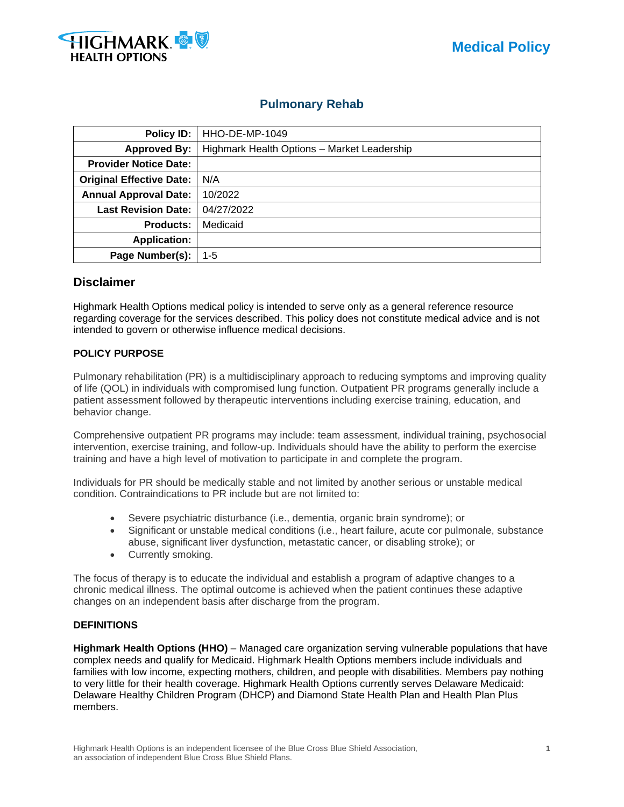

# **Pulmonary Rehab**

| Policy ID:                      | HHO-DE-MP-1049                              |  |  |
|---------------------------------|---------------------------------------------|--|--|
| <b>Approved By:</b>             | Highmark Health Options - Market Leadership |  |  |
| <b>Provider Notice Date:</b>    |                                             |  |  |
| <b>Original Effective Date:</b> | N/A                                         |  |  |
| <b>Annual Approval Date:</b>    | 10/2022                                     |  |  |
| <b>Last Revision Date:</b>      | 04/27/2022                                  |  |  |
| <b>Products:</b>                | Medicaid                                    |  |  |
| <b>Application:</b>             |                                             |  |  |
| Page Number(s):                 | 1-5                                         |  |  |

# **Disclaimer**

Highmark Health Options medical policy is intended to serve only as a general reference resource regarding coverage for the services described. This policy does not constitute medical advice and is not intended to govern or otherwise influence medical decisions.

## **POLICY PURPOSE**

Pulmonary rehabilitation (PR) is a multidisciplinary approach to reducing symptoms and improving quality of life (QOL) in individuals with compromised lung function. Outpatient PR programs generally include a patient assessment followed by therapeutic interventions including exercise training, education, and behavior change.

Comprehensive outpatient PR programs may include: team assessment, individual training, psychosocial intervention, exercise training, and follow-up. Individuals should have the ability to perform the exercise training and have a high level of motivation to participate in and complete the program.

Individuals for PR should be medically stable and not limited by another serious or unstable medical condition. Contraindications to PR include but are not limited to:

- Severe psychiatric disturbance (i.e., dementia, organic brain syndrome); or
- Significant or unstable medical conditions (i.e., heart failure, acute cor pulmonale, substance abuse, significant liver dysfunction, metastatic cancer, or disabling stroke); or
- Currently smoking.

The focus of therapy is to educate the individual and establish a program of adaptive changes to a chronic medical illness. The optimal outcome is achieved when the patient continues these adaptive changes on an independent basis after discharge from the program.

## **DEFINITIONS**

**Highmark Health Options (HHO)** – Managed care organization serving vulnerable populations that have complex needs and qualify for Medicaid. Highmark Health Options members include individuals and families with low income, expecting mothers, children, and people with disabilities. Members pay nothing to very little for their health coverage. Highmark Health Options currently serves Delaware Medicaid: Delaware Healthy Children Program (DHCP) and Diamond State Health Plan and Health Plan Plus members.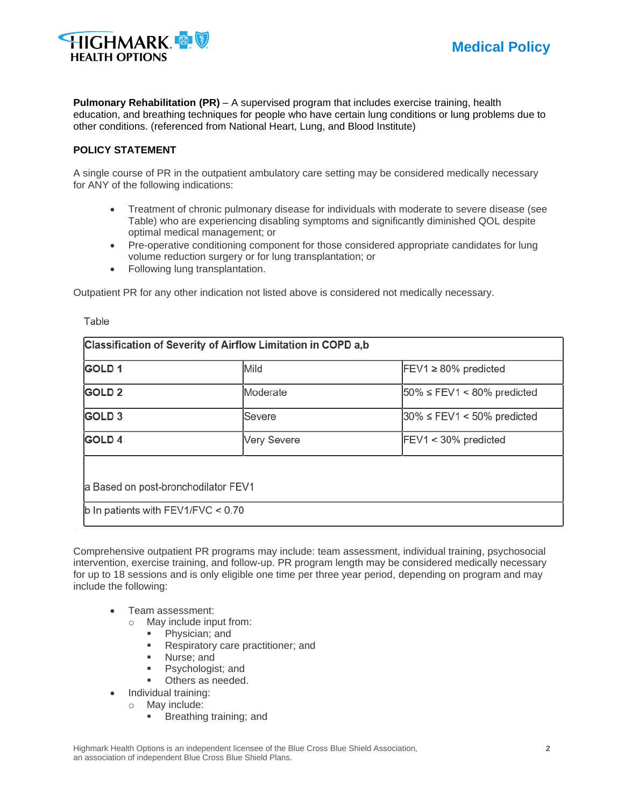

**Pulmonary Rehabilitation (PR)** – A supervised program that includes exercise training, health education, and breathing techniques for people who have certain lung conditions or lung problems due to other conditions. (referenced from National Heart, Lung, and Blood Institute)

#### **POLICY STATEMENT**

A single course of PR in the outpatient ambulatory care setting may be considered medically necessary for ANY of the following indications:

- Treatment of chronic pulmonary disease for individuals with moderate to severe disease (see Table) who are experiencing disabling symptoms and significantly diminished QOL despite optimal medical management; or
- Pre-operative conditioning component for those considered appropriate candidates for lung volume reduction surgery or for lung transplantation; or
- Following lung transplantation.

Outpatient PR for any other indication not listed above is considered not medically necessary.

| Classification of Severity of Airflow Limitation in COPD a,b |                    |                                      |  |
|--------------------------------------------------------------|--------------------|--------------------------------------|--|
| GOLD <sub>1</sub>                                            | Mild               | $FEV1 \ge 80\%$ predicted            |  |
| GOLD <sub>2</sub>                                            | Moderate           | $50\% \leq FEV1 \leq 80\%$ predicted |  |
| GOLD <sub>3</sub>                                            | Severe             | $30\% \leq FEV1 < 50\%$ predicted    |  |
| GOLD <sub>4</sub>                                            | <b>Very Severe</b> | FEV1 < 30% predicted                 |  |
|                                                              |                    |                                      |  |
| a Based on post-bronchodilator FEV1                          |                    |                                      |  |
| b In patients with $FEV1/FVC < 0.70$                         |                    |                                      |  |

Comprehensive outpatient PR programs may include: team assessment, individual training, psychosocial intervention, exercise training, and follow-up. PR program length may be considered medically necessary for up to 18 sessions and is only eligible one time per three year period, depending on program and may include the following:

• Team assessment:

o May include input from:

- Physician; and
- **Respiratory care practitioner; and**
- Nurse: and
- **•** Psychologist; and
- Others as needed.
- Individual training:
	- o May include:
		- **■** Breathing training; and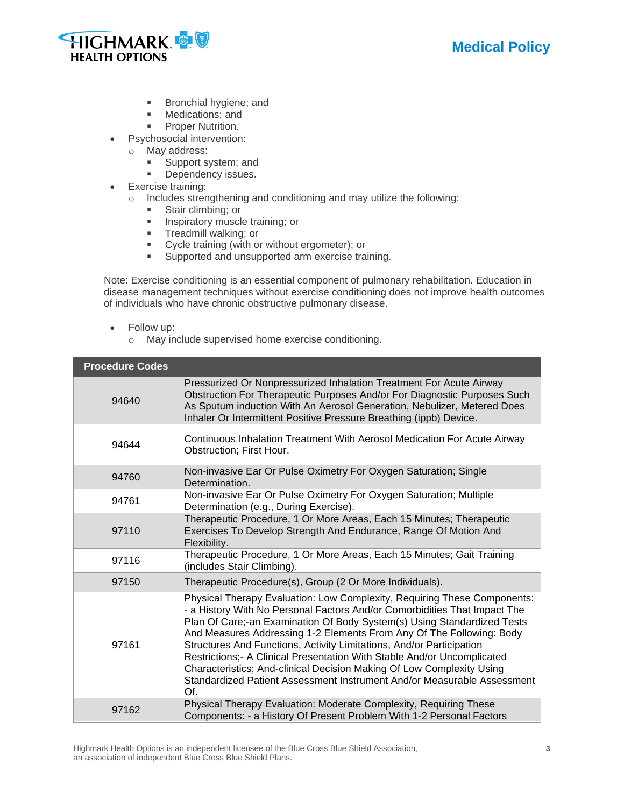

- Bronchial hygiene; and
- Medications; and
- **•** Proper Nutrition.
- Psychosocial intervention:
	- o May address:
		- **Example 3** Support system; and
		- **•** Dependency issues.
- Exercise training:
	- o Includes strengthening and conditioning and may utilize the following:
		- Stair climbing; or
		- **·** Inspiratory muscle training; or
		- **•** Treadmill walking; or
		- Cycle training (with or without ergometer); or
		- **EXE** Supported and unsupported arm exercise training.

Note: Exercise conditioning is an essential component of pulmonary rehabilitation. Education in disease management techniques without exercise conditioning does not improve health outcomes of individuals who have chronic obstructive pulmonary disease.

- Follow up:
	- o May include supervised home exercise conditioning.

| <b>Procedure Codes</b> |                                                                                                                                                                                                                                                                                                                                                                                                                                                                                                                                                                                                                           |
|------------------------|---------------------------------------------------------------------------------------------------------------------------------------------------------------------------------------------------------------------------------------------------------------------------------------------------------------------------------------------------------------------------------------------------------------------------------------------------------------------------------------------------------------------------------------------------------------------------------------------------------------------------|
| 94640                  | Pressurized Or Nonpressurized Inhalation Treatment For Acute Airway<br>Obstruction For Therapeutic Purposes And/or For Diagnostic Purposes Such<br>As Sputum induction With An Aerosol Generation, Nebulizer, Metered Does<br>Inhaler Or Intermittent Positive Pressure Breathing (ippb) Device.                                                                                                                                                                                                                                                                                                                          |
| 94644                  | Continuous Inhalation Treatment With Aerosol Medication For Acute Airway<br>Obstruction; First Hour.                                                                                                                                                                                                                                                                                                                                                                                                                                                                                                                      |
| 94760                  | Non-invasive Ear Or Pulse Oximetry For Oxygen Saturation; Single<br>Determination.                                                                                                                                                                                                                                                                                                                                                                                                                                                                                                                                        |
| 94761                  | Non-invasive Ear Or Pulse Oximetry For Oxygen Saturation; Multiple<br>Determination (e.g., During Exercise).                                                                                                                                                                                                                                                                                                                                                                                                                                                                                                              |
| 97110                  | Therapeutic Procedure, 1 Or More Areas, Each 15 Minutes; Therapeutic<br>Exercises To Develop Strength And Endurance, Range Of Motion And<br>Flexibility.                                                                                                                                                                                                                                                                                                                                                                                                                                                                  |
| 97116                  | Therapeutic Procedure, 1 Or More Areas, Each 15 Minutes; Gait Training<br>(includes Stair Climbing).                                                                                                                                                                                                                                                                                                                                                                                                                                                                                                                      |
| 97150                  | Therapeutic Procedure(s), Group (2 Or More Individuals).                                                                                                                                                                                                                                                                                                                                                                                                                                                                                                                                                                  |
| 97161                  | Physical Therapy Evaluation: Low Complexity, Requiring These Components:<br>- a History With No Personal Factors And/or Comorbidities That Impact The<br>Plan Of Care;-an Examination Of Body System(s) Using Standardized Tests<br>And Measures Addressing 1-2 Elements From Any Of The Following: Body<br>Structures And Functions, Activity Limitations, And/or Participation<br>Restrictions;- A Clinical Presentation With Stable And/or Uncomplicated<br>Characteristics; And-clinical Decision Making Of Low Complexity Using<br>Standardized Patient Assessment Instrument And/or Measurable Assessment<br>$Of$ . |
| 97162                  | Physical Therapy Evaluation: Moderate Complexity, Requiring These<br>Components: - a History Of Present Problem With 1-2 Personal Factors                                                                                                                                                                                                                                                                                                                                                                                                                                                                                 |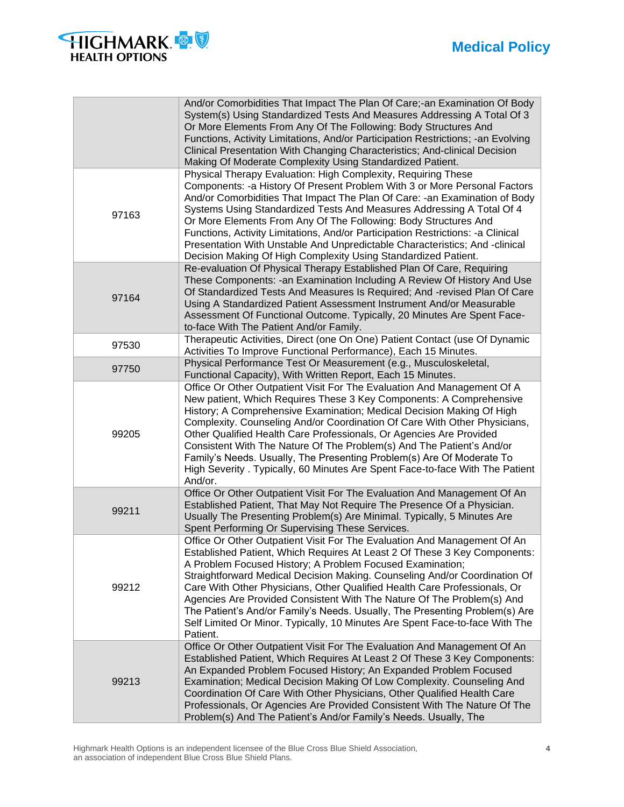

|       | And/or Comorbidities That Impact The Plan Of Care;-an Examination Of Body<br>System(s) Using Standardized Tests And Measures Addressing A Total Of 3<br>Or More Elements From Any Of The Following: Body Structures And<br>Functions, Activity Limitations, And/or Participation Restrictions; -an Evolving<br>Clinical Presentation With Changing Characteristics; And-clinical Decision<br>Making Of Moderate Complexity Using Standardized Patient.                                                                                                                                                                             |
|-------|------------------------------------------------------------------------------------------------------------------------------------------------------------------------------------------------------------------------------------------------------------------------------------------------------------------------------------------------------------------------------------------------------------------------------------------------------------------------------------------------------------------------------------------------------------------------------------------------------------------------------------|
| 97163 | Physical Therapy Evaluation: High Complexity, Requiring These<br>Components: - a History Of Present Problem With 3 or More Personal Factors<br>And/or Comorbidities That Impact The Plan Of Care: - an Examination of Body<br>Systems Using Standardized Tests And Measures Addressing A Total Of 4<br>Or More Elements From Any Of The Following: Body Structures And<br>Functions, Activity Limitations, And/or Participation Restrictions: - a Clinical<br>Presentation With Unstable And Unpredictable Characteristics; And -clinical<br>Decision Making Of High Complexity Using Standardized Patient.                        |
| 97164 | Re-evaluation Of Physical Therapy Established Plan Of Care, Requiring<br>These Components: - an Examination Including A Review Of History And Use<br>Of Standardized Tests And Measures Is Required; And -revised Plan Of Care<br>Using A Standardized Patient Assessment Instrument And/or Measurable<br>Assessment Of Functional Outcome. Typically, 20 Minutes Are Spent Face-<br>to-face With The Patient And/or Family.                                                                                                                                                                                                       |
| 97530 | Therapeutic Activities, Direct (one On One) Patient Contact (use Of Dynamic<br>Activities To Improve Functional Performance), Each 15 Minutes.                                                                                                                                                                                                                                                                                                                                                                                                                                                                                     |
| 97750 | Physical Performance Test Or Measurement (e.g., Musculoskeletal,<br>Functional Capacity), With Written Report, Each 15 Minutes.                                                                                                                                                                                                                                                                                                                                                                                                                                                                                                    |
| 99205 | Office Or Other Outpatient Visit For The Evaluation And Management Of A<br>New patient, Which Requires These 3 Key Components: A Comprehensive<br>History; A Comprehensive Examination; Medical Decision Making Of High<br>Complexity. Counseling And/or Coordination Of Care With Other Physicians,<br>Other Qualified Health Care Professionals, Or Agencies Are Provided<br>Consistent With The Nature Of The Problem(s) And The Patient's And/or<br>Family's Needs. Usually, The Presenting Problem(s) Are Of Moderate To<br>High Severity . Typically, 60 Minutes Are Spent Face-to-face With The Patient<br>And/or.          |
| 99211 | Office Or Other Outpatient Visit For The Evaluation And Management Of An<br>Established Patient, That May Not Require The Presence Of a Physician.<br>Usually The Presenting Problem(s) Are Minimal. Typically, 5 Minutes Are<br>Spent Performing Or Supervising These Services.                                                                                                                                                                                                                                                                                                                                                   |
| 99212 | Office Or Other Outpatient Visit For The Evaluation And Management Of An<br>Established Patient, Which Requires At Least 2 Of These 3 Key Components:<br>A Problem Focused History; A Problem Focused Examination;<br>Straightforward Medical Decision Making. Counseling And/or Coordination Of<br>Care With Other Physicians, Other Qualified Health Care Professionals, Or<br>Agencies Are Provided Consistent With The Nature Of The Problem(s) And<br>The Patient's And/or Family's Needs. Usually, The Presenting Problem(s) Are<br>Self Limited Or Minor. Typically, 10 Minutes Are Spent Face-to-face With The<br>Patient. |
| 99213 | Office Or Other Outpatient Visit For The Evaluation And Management Of An<br>Established Patient, Which Requires At Least 2 Of These 3 Key Components:<br>An Expanded Problem Focused History; An Expanded Problem Focused<br>Examination; Medical Decision Making Of Low Complexity. Counseling And<br>Coordination Of Care With Other Physicians, Other Qualified Health Care<br>Professionals, Or Agencies Are Provided Consistent With The Nature Of The<br>Problem(s) And The Patient's And/or Family's Needs. Usually, The                                                                                                    |